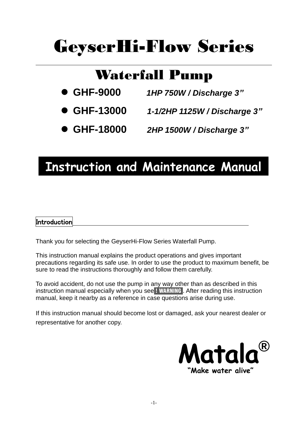# GeyserHi-Flow Series

### Waterfall Pump

- **GHF-9000** *1HP 750W / Discharge 3"*
- **GHF-13000** *1-1/2HP 1125W / Discharge 3"*
- **GHF-18000** *2HP 1500W / Discharge 3"*

## **Instruction and Maintenance Manual**

#### **Introduction**

Thank you for selecting the GeyserHi-Flow Series Waterfall Pump.

This instruction manual explains the product operations and gives important precautions regarding its safe use. In order to use the product to maximum benefit, be sure to read the instructions thoroughly and follow them carefully.

To avoid accident, do not use the pump in any way other than as described in this instruction manual especially when you see ! WARNING . After reading this instruction manual, keep it nearby as a reference in case questions arise during use.

If this instruction manual should become lost or damaged, ask your nearest dealer or representative for another copy.

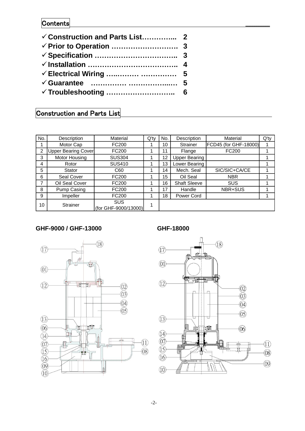#### Contents

### Construction and Parts List

| No. | Description                | Material                           | No.<br>$Q'$ ty |    | Description          | Material              | $Q'$ ty |
|-----|----------------------------|------------------------------------|----------------|----|----------------------|-----------------------|---------|
|     | Motor Cap                  | FC200                              |                | 10 | <b>Strainer</b>      | FCD45 (for GHF-18000) |         |
| 2   | <b>Upper Bearing Cover</b> | FC200                              |                | 11 | Flange               | FC200                 |         |
| 3   | Motor Housing              | <b>SUS304</b>                      |                | 12 | <b>Upper Bearing</b> |                       |         |
| 4   | Rotor                      | <b>SUS410</b>                      |                | 13 | Lower Bearing        |                       |         |
| 5   | Stator                     | C60                                |                | 14 | Mech. Seal           | SIC/SIC+CA/CE         |         |
| 6   | Seal Cover                 | FC200                              |                | 15 | Oil Seal             | <b>NBR</b>            |         |
|     | Oil Seal Cover             | FC200                              |                | 16 | <b>Shaft Sleeve</b>  | <b>SUS</b>            |         |
| 8   | Pump Casing                | FC200                              |                | 17 | Handle               | NBR+SUS               |         |
| 9   | Impeller                   | FC200                              |                | 18 | Power Cord           |                       |         |
| 10  | Strainer                   | <b>SUS</b><br>(for GHF-9000/13000) | 1              |    |                      |                       |         |

#### **GHF-9000 / GHF-13000 GHF-18000**



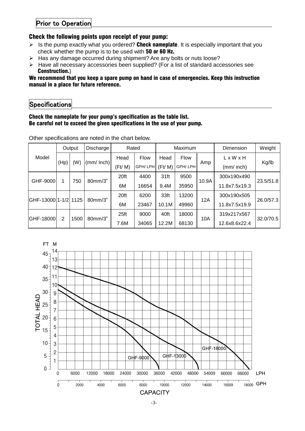#### Prior to Operation

#### Check the following points upon receipt of your pump:

- $\triangleright$  Is the pump exactly what you ordered? Check nameplate. It is especially important that you check whether the pump is to be used with 50 or 60 Hz.
- > Has any damage occurred during shipment? Are any bolts or nuts loose?
- $\triangleright$  Have all necessary accessories been supplied? (For a list of standard accessories see Construction.)

#### We recommend that you keep a spare pump on hand in case of emergencies. Keep this instruction manual in a place for future reference.

#### **Specifications**

#### Check the nameplate for your pump's specification as the table list. Be careful not to exceed the given specifications in the use of your pump.

|                       | Output      |           | Discharge | Rated          |                  | Maximum |             |               | Dimension     | Weight      |             |  |
|-----------------------|-------------|-----------|-----------|----------------|------------------|---------|-------------|---------------|---------------|-------------|-------------|--|
| Model                 | (W)<br>(Hp) |           |           | Head           | <b>Flow</b>      | Head    | <b>Flow</b> |               | L x W x H     |             |             |  |
|                       |             | (mm/Inch) | (Ft/M)    | GPH/LPH        | (Ft/ M)          | GPH/LPH | Amp         | (mm/ inch)    | Kg/lb         |             |             |  |
| GHF-9000              | 750<br>1    |           |           |                | 80mm/3"          | 20ft    | 4400        | 31ft          | 9500          |             | 300x190x490 |  |
|                       |             |           |           | 6M             | 16654            | 9.4M    | 35950       | 10.9A         | 11.8x7.5x19.3 | 23.5/51.8   |             |  |
| GHF-13000 1-1/2  1125 |             |           |           |                | 80mm/3"          | 20ft    | 6200        | 33ft          | 13200         |             | 300x190x505 |  |
|                       |             |           | 6M        | 23467          | 10.1M            | 49960   | 12A         | 11.8x7.5x19.9 | 26.0/57.3     |             |             |  |
| GHF-18000             | 2<br>1500   |           |           | $80$ mm $/3$ " | 25 <sub>ft</sub> | 9000    | 40ft        | 18000         | 10A           | 319x217x567 | 32.0/70.5   |  |
|                       |             |           | 7.6M      | 34065          | 12.2M            | 68130   |             | 12.6x8.6x22.4 |               |             |             |  |

Other specifications are noted in the chart below.

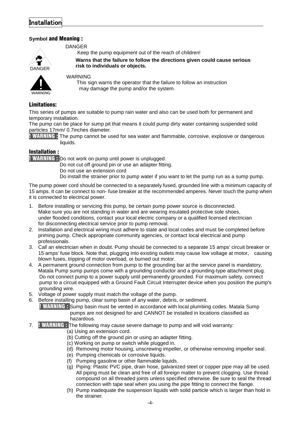#### **Installation**

#### **Symbol** and Meaning :



DANGER

Keep the pump equipment out of the reach of children!

**Warns that the failure to follow the directions given could cause serious**  $r$ isk to individuals or objects.



#### WARNING

 This sign warns the operator that the failure to follow an instruction may damage the pump and/or the system.

#### Limitations:

This series of pumps are suitable to pump rain water and also can be used both for permanent and temporary installation.

The pump can be place for sump pit that means it could pump dirty water containing suspended solid particles 17mm/ 0.7inches diameter.

**! WARNING :** The pump cannot be used for sea water and flammable, corrosive, explosive or dangerous liquids.

#### Installation :

**! WARNING : Do not work on pump until power is unplugged.** 

Do not cut off ground pin or use an adapter fitting.

- Do not use an extension cord
- Do install the strainer prior to pump water if you want to let the pump run as a sump pump.

The pump power cord should be connected to a separately fused, grounded line with a minimum capacity of 15 amps. It can be connect to non- fuse breaker at the recommended amperes. Never touch the pump when it is connected to electrical power.

- 1. Before installing or servicing this pump, be certain pump power source is disconnected. Make sure you are not standing in water and are wearing insulated protective sole shoes, under flooded conditions, contact your local electric company or a qualified licensed electrician for disconnecting electrical service prior to pump removal.
- 2. Installation and electrical wiring must adhere to state and local codes and must be completed before priming pump. Check appropriate community agencies, or contact local electrical and pump professionals.
- 3. Call an electrician when in doubt. Pump should be connected to a separate 15 amps' circuit breaker or 15 amps' fuse block. Note that, plugging into existing outlets may cause low voltage at motor, causing blown fuses, tripping of motor overload, or burned out motor.
- 4. A permanent ground connection from pump to the grounding bar at the service panel is mandatory, Matala Pump sump pumps come with a grounding conductor and a grounding-type attachment plug. Do not connect pump to a power supply until permanently grounded. For maximum safety, connect pump to a circuit equipped with a Ground Fault Circuit Interrupter device when you position the pump's grounding wire.
- 5. Voltage of power supply must match the voltage of the pump.
- 6. Before installing pump, clear sump basin of any water, debris, or sediment.

 ! WARNING : Sump basin must be vented in accordance with local plumbing codes. Matala Sump pumps are not designed for and CANNOT be installed in locations classified as hazardous.

- 7. ! WARNING : The following may cause severe damage to pump and will void warranty:
	- (a) Using an extension cord.
	- (b) Cutting off the ground pin or using an adapter fitting.
	- (c) Working on pump or switch while plugged in.
	- (d) Removing motor housing, unscrewing impeller, or otherwise removing impeller seal.
	- (e) Pumping chemicals or corrosive liquids.
	- (f) Pumping gasoline or other flammable liquids.
	- (g) Piping: Plastic PVC pipe, drain hose, galvanized steel or copper pipe may all be used. All piping must be clean and free of all foreign matter to prevent clogging. Use thread compound on all threaded joints unless specified otherwise. Be sure to seal the thread connection with tape seal when you using the pipe fitting to connect the flange.
	- (h) Pump inadequate the suspension liquids with solid particle which is larger than hold in the strainer.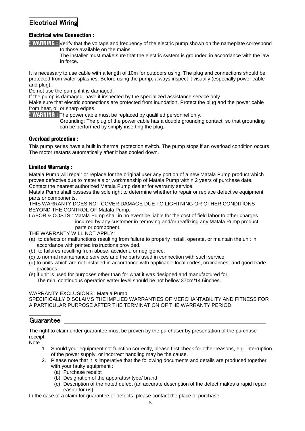#### Electrical Wiring

#### Electrical wire Connection :

**! WARNING :** Verify that the voltage and frequency of the electric pump shown on the nameplate correspond to those available on the mains.

 The installer must make sure that the electric system is grounded in accordance with the law in force.

It is necessary to use cable with a length of 10m for outdoors using. The plug and connections should be protected from water splashes. Before using the pump, always inspect it visually (especially power cable and plug).

Do not use the pump if it is damaged.

If the pump is damaged, have it inspected by the specialized assistance service only.

Make sure that electric connections are protected from inundation. Protect the plug and the power cable from heat, oil or sharp edges.

! WARNING : The power cable must be replaced by qualified personnel only.

 Grounding: The plug of the power cable has a double grounding contact, so that grounding can be performed by simply inserting the plug.

#### Overload protection :

This pump series have a built in thermal protection switch. The pump stops if an overload condition occurs. The motor restarts automatically after it has cooled down.

#### Limited Warranty :

Matala Pump will repair or replace for the original user any portion of a new Matala Pump product which proves defective due to materials or workmanship of Matala Pump within 2 years of purchase date. Contact the nearest authorized Matala Pump dealer for warranty service.

Matala Pump shall possess the sole right to determine whether to repair or replace defective equipment, parts or components.

THIS WARRANTY DOES NOT COVER DAMAGE DUE TO LIGHTNING OR OTHER CONDITIONS BEYOND THE CONTROL OF Matala Pump.

LABOR & COSTS : Matala Pump shall in no event be liable for the cost of field labor to other charges incurred by any customer in removing and/or reaffixing any Matala Pump product, parts or component.

THE WARRANTY WILL NOT APPLY:

- (a) to defects or malfunctions resulting from failure to properly install, operate, or maintain the unit in accordance with printed instructions provided.
- (b) to failures resulting from abuse, accident, or negligence.
- (c) to normal maintenance services and the parts used in connection with such service.
- (d) to units which are not installed in accordance with applicable local codes, ordinances, and good trade practices.
- (e) if unit is used for purposes other than for what it was designed and manufactured for. The min. continuous operation water level should be not bellow 37cm/14.6inches.

#### WARRANTY EXCLUSIONS : Matala Pump

SPECIFICALLY DISCLAIMS THE IMPLIED WARRANTIES OF MERCHANTABILITY AND FITNESS FOR A PARTICULAR PURPOSE AFTER THE TERMINATION OF THE WARRANTY PERIOD.

#### Guarantee

The right to claim under guarantee must be proven by the purchaser by presentation of the purchase receipt.

Note :

- 1. Should your equipment not function correctly, please first check for other reasons, e.g. interruption of the power supply, or incorrect handling may be the cause.
- 2. Please note that it is imperative that the following documents and details are produced together with your faulty equipment :
	- (a) Purchase receipt
	- (b) Designation of the apparatus/ type/ brand
	- (c) Description of the noted defect (an accurate description of the defect makes a rapid repair easier for us)

In the case of a claim for guarantee or defects, please contact the place of purchase.